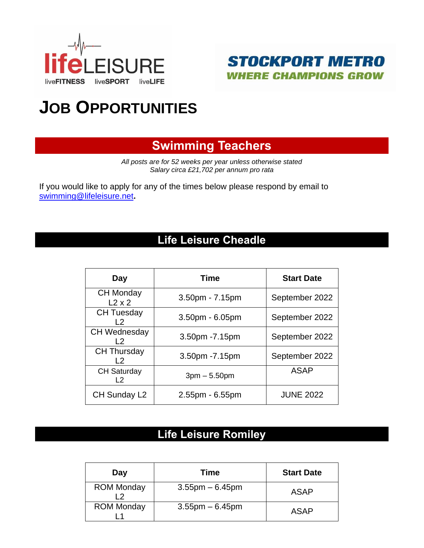



# **JOB OPPORTUNITIES**

# **Swimming Teachers**

*All posts are for 52 weeks per year unless otherwise stated Salary circa £21,702 per annum pro rata*

If you would like to apply for any of the times below please respond by email to [swimming@lifeleisure.net](mailto:swimming@lifeleisure.net)**.**

# **Life Leisure Cheadle**

| Day                               | <b>Time</b>       | <b>Start Date</b> |  |
|-----------------------------------|-------------------|-------------------|--|
| <b>CH Monday</b><br>$L2 \times 2$ | 3.50pm - 7.15pm   | September 2022    |  |
| <b>CH Tuesday</b><br>l 2          | 3.50pm - 6.05pm   | September 2022    |  |
| <b>CH Wednesday</b><br>l 2        | 3.50pm - 7.15pm   | September 2022    |  |
| <b>CH Thursday</b><br>l 2         | 3.50pm - 7.15pm   | September 2022    |  |
| <b>CH Saturday</b><br>I 2         | $3pm - 5.50pm$    | <b>ASAP</b>       |  |
| CH Sunday L2                      | $2.55pm - 6.55pm$ | <b>JUNE 2022</b>  |  |

## **Life Leisure Romiley**

| Day               | Time                 | <b>Start Date</b> |
|-------------------|----------------------|-------------------|
| <b>ROM Monday</b> | $3.55$ pm $-6.45$ pm | <b>ASAP</b>       |
| <b>ROM Monday</b> | $3.55$ pm $-6.45$ pm | <b>ASAP</b>       |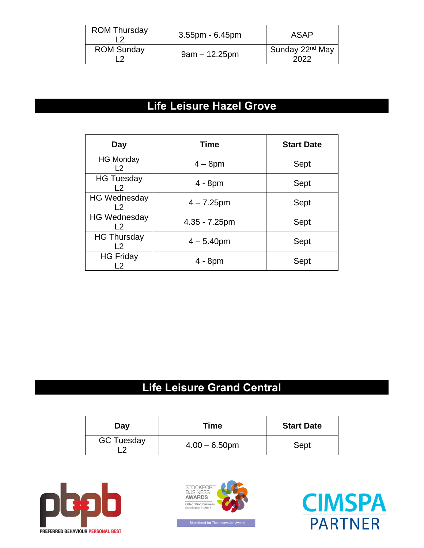| <b>ROM Thursday</b> | $3.55$ pm - 6.45pm | <b>ASAP</b>                         |
|---------------------|--------------------|-------------------------------------|
| <b>ROM Sunday</b>   | $9am - 12.25pm$    | Sunday 22 <sup>nd</sup> May<br>2022 |

# **Life Leisure Hazel Grove**

| Day                                   | <b>Time</b>   | <b>Start Date</b> |
|---------------------------------------|---------------|-------------------|
| <b>HG Monday</b><br>L <sub>2</sub>    | $4 - 8pm$     | Sept              |
| <b>HG Tuesday</b><br>$\overline{2}$   | $4 - 8pm$     | Sept              |
| <b>HG Wednesday</b><br>l 2            | $4 - 7.25$ pm | Sept              |
| <b>HG Wednesday</b><br>L <sub>2</sub> | 4.35 - 7.25pm | Sept              |
| <b>HG Thursday</b><br>$\overline{2}$  | $4 - 5.40$ pm | Sept              |
| <b>HG Friday</b>                      | $4 - 8pm$     | Sept              |

# **Life Leisure Grand Central**

| Day               | <b>Time</b>      | <b>Start Date</b> |
|-------------------|------------------|-------------------|
| <b>GC Tuesday</b> | $4.00 - 6.50$ pm | Sept              |





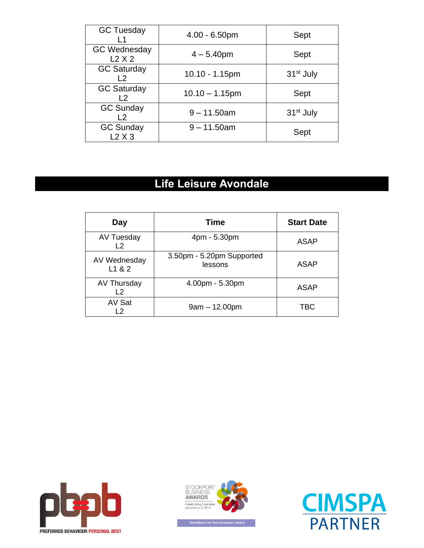| <b>GC Tuesday</b>                  | $4.00 - 6.50$ pm  | Sept                  |
|------------------------------------|-------------------|-----------------------|
| <b>GC Wednesday</b><br>L2X2        | $4 - 5.40$ pm     | Sept                  |
| <b>GC Saturday</b><br>l 2          | 10.10 - 1.15pm    | 31 <sup>st</sup> July |
| <b>GC Saturday</b><br>l 2          | $10.10 - 1.15$ pm | Sept                  |
| <b>GC Sunday</b><br>$\overline{2}$ | $9 - 11.50$ am    | 31 <sup>st</sup> July |
| <b>GC Sunday</b><br>L2X3           | $9 - 11.50$ am    | Sept                  |

# **Life Leisure Avondale**

| Day                                 | Time                                 | <b>Start Date</b> |
|-------------------------------------|--------------------------------------|-------------------|
| <b>AV Tuesday</b><br>L <sub>2</sub> | 4pm - 5.30pm                         | ASAP              |
| AV Wednesday<br>L1 & 2              | 3.50pm - 5.20pm Supported<br>lessons | ASAP              |
| AV Thursday<br>L <sub>2</sub>       | 4.00pm - 5.30pm                      | <b>ASAP</b>       |
| AV Sat<br>12                        | $9am - 12.00pm$                      | TBC               |





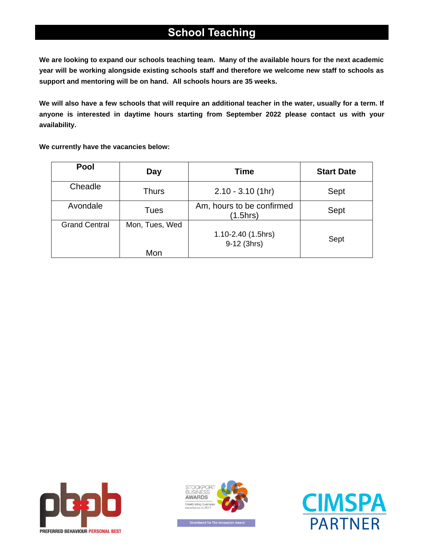### **School Teaching**

**We are looking to expand our schools teaching team. Many of the available hours for the next academic year will be working alongside existing schools staff and therefore we welcome new staff to schools as support and mentoring will be on hand. All schools hours are 35 weeks.**

**We will also have a few schools that will require an additional teacher in the water, usually for a term. If anyone is interested in daytime hours starting from September 2022 please contact [us](mailto:frances.kelly@lifeleisure.net) with your availability.**

**We currently have the vacancies below:**

| <b>Pool</b>          | Day                   | <b>Time</b>                           | <b>Start Date</b> |
|----------------------|-----------------------|---------------------------------------|-------------------|
| Cheadle              | <b>Thurs</b>          | $2.10 - 3.10$ (1hr)                   | Sept              |
| Avondale             | Tues                  | Am, hours to be confirmed<br>(1.5hrs) | Sept              |
| <b>Grand Central</b> | Mon, Tues, Wed<br>Mon | 1.10-2.40 (1.5hrs)<br>9-12 (3hrs)     | Sept              |